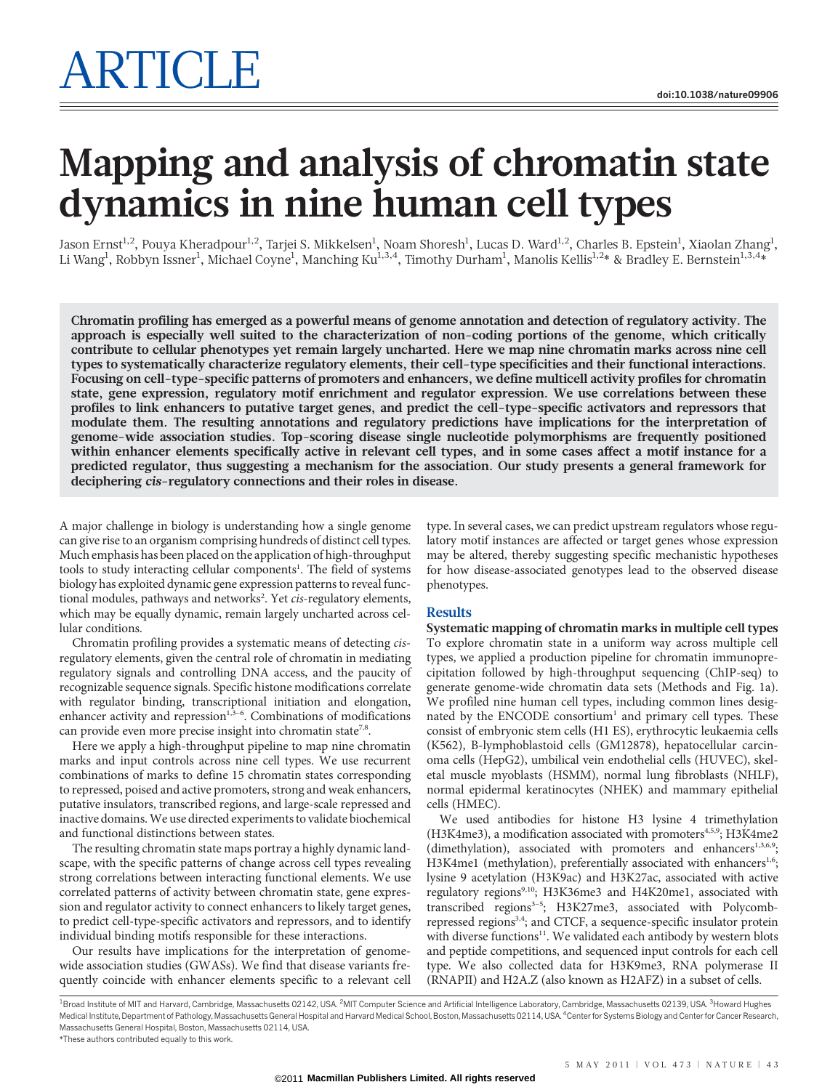# Mapping and analysis of chromatin state dynamics in nine human cell types

Jason Ernst<sup>1,2</sup>, Pouya Kheradpour<sup>1,2</sup>, Tarjei S. Mikkelsen<sup>1</sup>, Noam Shoresh<sup>1</sup>, Lucas D. Ward<sup>1,2</sup>, Charles B. Epstein<sup>1</sup>, Xiaolan Zhang<sup>1</sup>, Li Wang<sup>1</sup>, Robbyn Issner<sup>1</sup>, Michael Coyne<sup>1</sup>, Manching Ku<sup>1,3,4</sup>, Timothy Durham<sup>1</sup>, Manolis Kellis<sup>1,2</sup>\* & Bradley E. Bernstein<sup>1,3,4</sup>\*

Chromatin profiling has emerged as a powerful means of genome annotation and detection of regulatory activity. The approach is especially well suited to the characterization of non-coding portions of the genome, which critically contribute to cellular phenotypes yet remain largely uncharted. Here we map nine chromatin marks across nine cell types to systematically characterize regulatory elements, their cell-type specificities and their functional interactions. Focusing on cell-type-specific patterns of promoters and enhancers, we define multicell activity profiles for chromatin state, gene expression, regulatory motif enrichment and regulator expression. We use correlations between these profiles to link enhancers to putative target genes, and predict the cell-type-specific activators and repressors that modulate them. The resulting annotations and regulatory predictions have implications for the interpretation of genome-wide association studies. Top-scoring disease single nucleotide polymorphisms are frequently positioned within enhancer elements specifically active in relevant cell types, and in some cases affect a motif instance for a predicted regulator, thus suggesting a mechanism for the association. Our study presents a general framework for deciphering cis-regulatory connections and their roles in disease.

A major challenge in biology is understanding how a single genome can give rise to an organism comprising hundreds of distinct cell types. Much emphasis has been placed on the application of high-throughput tools to study interacting cellular components<sup>1</sup>. The field of systems biology has exploited dynamic gene expression patterns to reveal functional modules, pathways and networks<sup>2</sup>. Yet cis-regulatory elements, which may be equally dynamic, remain largely uncharted across cellular conditions.

Chromatin profiling provides a systematic means of detecting cisregulatory elements, given the central role of chromatin in mediating regulatory signals and controlling DNA access, and the paucity of recognizable sequence signals. Specific histone modifications correlate with regulator binding, transcriptional initiation and elongation, enhancer activity and repression<sup>1,3-6</sup>. Combinations of modifications can provide even more precise insight into chromatin state<sup>7,8</sup>.

Here we apply a high-throughput pipeline to map nine chromatin marks and input controls across nine cell types. We use recurrent combinations of marks to define 15 chromatin states corresponding to repressed, poised and active promoters, strong and weak enhancers, putative insulators, transcribed regions, and large-scale repressed and inactive domains.We use directed experiments to validate biochemical and functional distinctions between states.

The resulting chromatin state maps portray a highly dynamic landscape, with the specific patterns of change across cell types revealing strong correlations between interacting functional elements. We use correlated patterns of activity between chromatin state, gene expression and regulator activity to connect enhancers to likely target genes, to predict cell-type-specific activators and repressors, and to identify individual binding motifs responsible for these interactions.

Our results have implications for the interpretation of genomewide association studies (GWASs). We find that disease variants frequently coincide with enhancer elements specific to a relevant cell type. In several cases, we can predict upstream regulators whose regulatory motif instances are affected or target genes whose expression may be altered, thereby suggesting specific mechanistic hypotheses for how disease-associated genotypes lead to the observed disease phenotypes.

#### Results

Systematic mapping of chromatin marks in multiple cell types To explore chromatin state in a uniform way across multiple cell types, we applied a production pipeline for chromatin immunoprecipitation followed by high-throughput sequencing (ChIP-seq) to generate genome-wide chromatin data sets (Methods and Fig. 1a). We profiled nine human cell types, including common lines designated by the ENCODE consortium<sup>1</sup> and primary cell types. These consist of embryonic stem cells (H1 ES), erythrocytic leukaemia cells (K562), B-lymphoblastoid cells (GM12878), hepatocellular carcinoma cells (HepG2), umbilical vein endothelial cells (HUVEC), skeletal muscle myoblasts (HSMM), normal lung fibroblasts (NHLF), normal epidermal keratinocytes (NHEK) and mammary epithelial cells (HMEC).

We used antibodies for histone H3 lysine 4 trimethylation (H3K4me3), a modification associated with promoters<sup>4,5,9</sup>; H3K4me2 (dimethylation), associated with promoters and enhancers<sup>1,3,6,9</sup>; H3K4me1 (methylation), preferentially associated with enhancers<sup>1,6</sup>; lysine 9 acetylation (H3K9ac) and H3K27ac, associated with active regulatory regions<sup>9,10</sup>; H3K36me3 and H4K20me1, associated with transcribed regions<sup>3-5</sup>; H3K27me3, associated with Polycombrepressed regions<sup>3,4</sup>; and CTCF, a sequence-specific insulator protein with diverse functions<sup>11</sup>. We validated each antibody by western blots and peptide competitions, and sequenced input controls for each cell type. We also collected data for H3K9me3, RNA polymerase II (RNAPII) and H2A.Z (also known as H2AFZ) in a subset of cells.

<sup>1</sup>Broad Institute of MIT and Harvard, Cambridge, Massachusetts 02142, USA. <sup>2</sup>MIT Computer Science and Artificial Intelligence Laboratory, Cambridge, Massachusetts 02139, USA. <sup>3</sup>Howard Hughes Medical Institute, Department of Pathology, Massachusetts General Hospital and Harvard Medical School, Boston, Massachusetts 02114, USA. <sup>4</sup>Center for Systems Biology and Center for Cancer Research, Massachusetts General Hospital, Boston, Massachusetts 02114, USA.

\*These authors contributed equally to this work.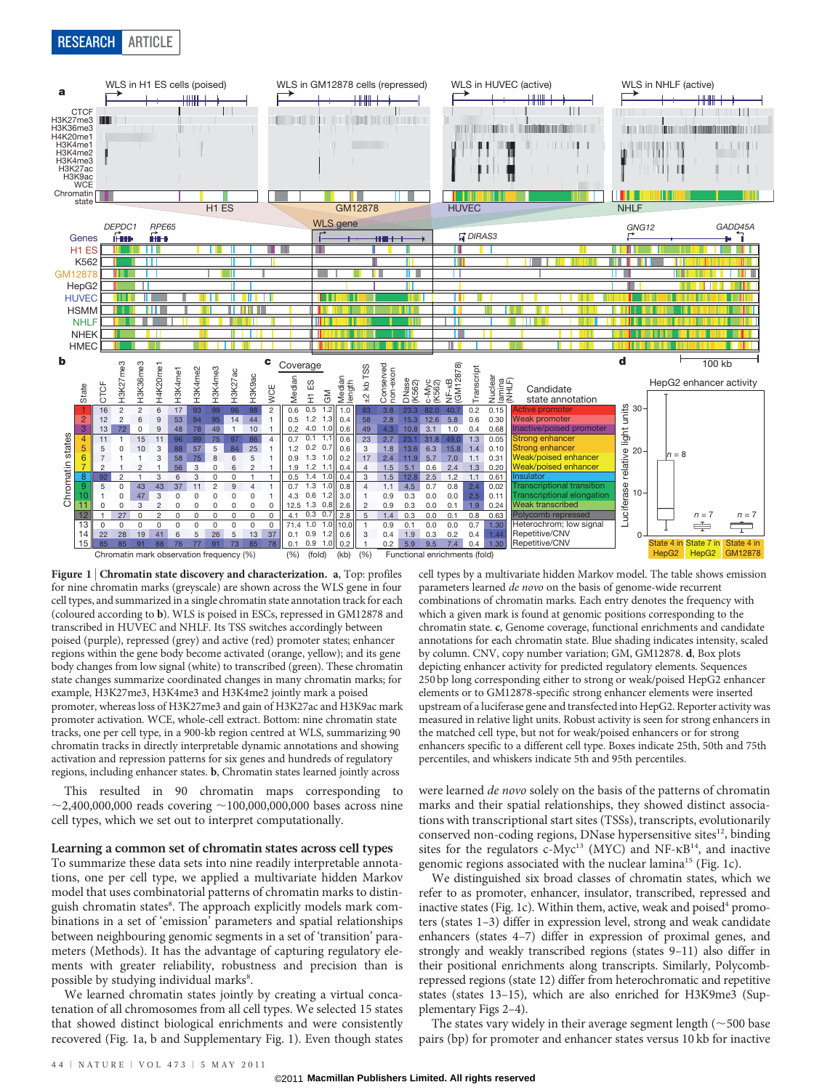# RESEARCH ARTICLE



Figure 1 | Chromatin state discovery and characterization. a, Top: profiles for nine chromatin marks (greyscale) are shown across the WLS gene in four cell types, and summarized in a single chromatin state annotation track for each (coloured according to b). WLS is poised in ESCs, repressed in GM12878 and transcribed in HUVEC and NHLF. Its TSS switches accordingly between poised (purple), repressed (grey) and active (red) promoter states; enhancer regions within the gene body become activated (orange, yellow); and its gene body changes from low signal (white) to transcribed (green). These chromatin state changes summarize coordinated changes in many chromatin marks; for example, H3K27me3, H3K4me3 and H3K4me2 jointly mark a poised promoter, whereas loss of H3K27me3 and gain of H3K27ac and H3K9ac mark promoter activation. WCE, whole-cell extract. Bottom: nine chromatin state tracks, one per cell type, in a 900-kb region centred at WLS, summarizing 90 chromatin tracks in directly interpretable dynamic annotations and showing activation and repression patterns for six genes and hundreds of regulatory regions, including enhancer states. b, Chromatin states learned jointly across

This resulted in 90 chromatin maps corresponding to  $\sim$ 2,400,000,000 reads covering  $\sim$ 100,000,000,000 bases across nine cell types, which we set out to interpret computationally.

#### Learning a common set of chromatin states across cell types

To summarize these data sets into nine readily interpretable annotations, one per cell type, we applied a multivariate hidden Markov model that uses combinatorial patterns of chromatin marks to distinguish chromatin states<sup>8</sup>. The approach explicitly models mark combinations in a set of 'emission' parameters and spatial relationships between neighbouring genomic segments in a set of 'transition' parameters (Methods). It has the advantage of capturing regulatory elements with greater reliability, robustness and precision than is possible by studying individual marks<sup>8</sup>.

We learned chromatin states jointly by creating a virtual concatenation of all chromosomes from all cell types. We selected 15 states that showed distinct biological enrichments and were consistently recovered (Fig. 1a, b and Supplementary Fig. 1). Even though states cell types by a multivariate hidden Markov model. The table shows emission parameters learned de novo on the basis of genome-wide recurrent combinations of chromatin marks. Each entry denotes the frequency with which a given mark is found at genomic positions corresponding to the chromatin state. c, Genome coverage, functional enrichments and candidate annotations for each chromatin state. Blue shading indicates intensity, scaled by column. CNV, copy number variation; GM, GM12878. d, Box plots depicting enhancer activity for predicted regulatory elements. Sequences 250 bp long corresponding either to strong or weak/poised HepG2 enhancer elements or to GM12878-specific strong enhancer elements were inserted upstream of a luciferase gene and transfected into HepG2. Reporter activity was measured in relative light units. Robust activity is seen for strong enhancers in the matched cell type, but not for weak/poised enhancers or for strong enhancers specific to a different cell type. Boxes indicate 25th, 50th and 75th percentiles, and whiskers indicate 5th and 95th percentiles.

were learned de novo solely on the basis of the patterns of chromatin marks and their spatial relationships, they showed distinct associations with transcriptional start sites (TSSs), transcripts, evolutionarily conserved non-coding regions, DNase hypersensitive sites<sup>12</sup>, binding sites for the regulators  $c$ -My $c^{13}$  (MYC) and NF- $\kappa B^{14}$ , and inactive genomic regions associated with the nuclear lamina<sup>15</sup> (Fig. 1c).

We distinguished six broad classes of chromatin states, which we refer to as promoter, enhancer, insulator, transcribed, repressed and inactive states (Fig. 1c). Within them, active, weak and poised $4$  promoters (states 1–3) differ in expression level, strong and weak candidate enhancers (states 4–7) differ in expression of proximal genes, and strongly and weakly transcribed regions (states 9–11) also differ in their positional enrichments along transcripts. Similarly, Polycombrepressed regions (state 12) differ from heterochromatic and repetitive states (states 13–15), which are also enriched for H3K9me3 (Supplementary Figs 2–4).

The states vary widely in their average segment length  $(\sim 500$  base pairs (bp) for promoter and enhancer states versus 10 kb for inactive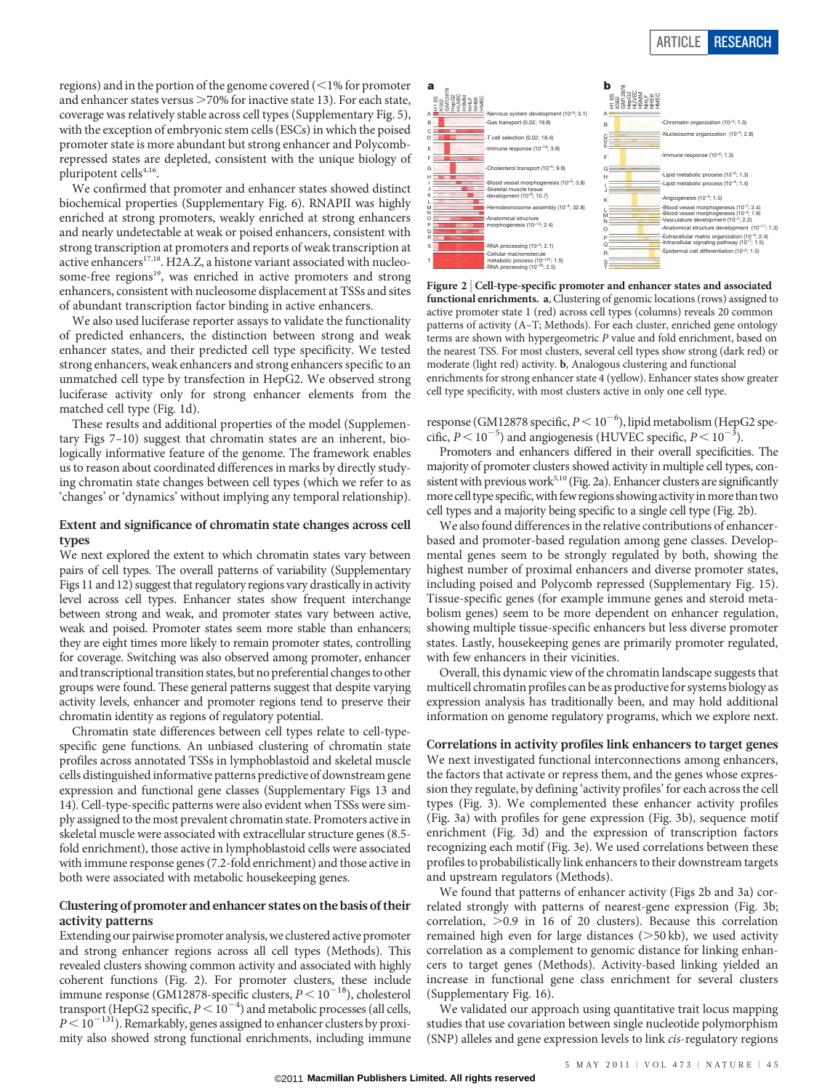regions) and in the portion of the genome covered  $\leq$  1% for promoter and enhancer states versus  $>70\%$  for inactive state 13). For each state, coverage was relatively stable across cell types (Supplementary Fig. 5), with the exception of embryonic stem cells (ESCs) in which the poised promoter state is more abundant but strong enhancer and Polycombrepressed states are depleted, consistent with the unique biology of pluripotent cells<sup>4,16</sup>.

We confirmed that promoter and enhancer states showed distinct biochemical properties (Supplementary Fig. 6). RNAPII was highly enriched at strong promoters, weakly enriched at strong enhancers and nearly undetectable at weak or poised enhancers, consistent with strong transcription at promoters and reports of weak transcription at active enhancers<sup>17,18</sup>. H2A.Z, a histone variant associated with nucleosome-free regions<sup>19</sup>, was enriched in active promoters and strong enhancers, consistent with nucleosome displacement at TSSs and sites of abundant transcription factor binding in active enhancers.

We also used luciferase reporter assays to validate the functionality of predicted enhancers, the distinction between strong and weak enhancer states, and their predicted cell type specificity. We tested strong enhancers, weak enhancers and strong enhancers specific to an unmatched cell type by transfection in HepG2. We observed strong luciferase activity only for strong enhancer elements from the matched cell type (Fig. 1d).

These results and additional properties of the model (Supplementary Figs 7–10) suggest that chromatin states are an inherent, biologically informative feature of the genome. The framework enables us to reason about coordinated differences in marks by directly studying chromatin state changes between cell types (which we refer to as 'changes' or 'dynamics' without implying any temporal relationship).

# Extent and significance of chromatin state changes across cell types

We next explored the extent to which chromatin states vary between pairs of cell types. The overall patterns of variability (Supplementary Figs 11 and 12) suggest that regulatory regions vary drastically in activity level across cell types. Enhancer states show frequent interchange between strong and weak, and promoter states vary between active, weak and poised. Promoter states seem more stable than enhancers; they are eight times more likely to remain promoter states, controlling for coverage. Switching was also observed among promoter, enhancer and transcriptional transition states, but no preferential changes to other groups were found. These general patterns suggest that despite varying activity levels, enhancer and promoter regions tend to preserve their chromatin identity as regions of regulatory potential.

Chromatin state differences between cell types relate to cell-typespecific gene functions. An unbiased clustering of chromatin state profiles across annotated TSSs in lymphoblastoid and skeletal muscle cells distinguished informative patterns predictive of downstream gene expression and functional gene classes (Supplementary Figs 13 and 14). Cell-type-specific patterns were also evident when TSSs were simply assigned to the most prevalent chromatin state. Promoters active in skeletal muscle were associated with extracellular structure genes (8.5 fold enrichment), those active in lymphoblastoid cells were associated with immune response genes (7.2-fold enrichment) and those active in both were associated with metabolic housekeeping genes.

# Clustering of promoter and enhancer states on the basis of their activity patterns

Extending our pairwise promoter analysis, we clustered active promoter and strong enhancer regions across all cell types (Methods). This revealed clusters showing common activity and associated with highly coherent functions (Fig. 2). For promoter clusters, these include immune response (GM12878-specific clusters,  $P < 10^{-18}$ ), cholesterol transport (HepG2 specific,  $P < 10^{-4}$ ) and metabolic processes (all cells,  $P\,{<}\,10^{-131}$  ). Remarkably, genes assigned to enhancer clusters by proximity also showed strong functional enrichments, including immune



Figure 2 <sup>|</sup> Cell-type-specific promoter and enhancer states and associated functional enrichments. a, Clustering of genomic locations (rows) assigned to active promoter state 1 (red) across cell types (columns) reveals 20 common patterns of activity (A–T; Methods). For each cluster, enriched gene ontology terms are shown with hypergeometric P value and fold enrichment, based on the nearest TSS. For most clusters, several cell types show strong (dark red) or moderate (light red) activity. b, Analogous clustering and functional enrichments for strong enhancer state 4 (yellow). Enhancer states show greater cell type specificity, with most clusters active in only one cell type.

response (GM12878 specific,  $P < 10^{-6}$ ), lipid metabolism (HepG2 specific,  $P < 10^{-5}$ ) and angiogenesis (HUVEC specific,  $P < 10^{-3}$ ).

Promoters and enhancers differed in their overall specificities. The majority of promoter clusters showed activity in multiple cell types, consistent with previous work<sup>5,10</sup> (Fig. 2a). Enhancer clusters are significantly more cell type specific, with few regions showing activity in more than two cell types and a majority being specific to a single cell type (Fig. 2b).

We also found differences in the relative contributions of enhancerbased and promoter-based regulation among gene classes. Developmental genes seem to be strongly regulated by both, showing the highest number of proximal enhancers and diverse promoter states, including poised and Polycomb repressed (Supplementary Fig. 15). Tissue-specific genes (for example immune genes and steroid metabolism genes) seem to be more dependent on enhancer regulation, showing multiple tissue-specific enhancers but less diverse promoter states. Lastly, housekeeping genes are primarily promoter regulated, with few enhancers in their vicinities.

Overall, this dynamic view of the chromatin landscape suggests that multicell chromatin profiles can be as productive for systems biology as expression analysis has traditionally been, and may hold additional information on genome regulatory programs, which we explore next.

# Correlations in activity profiles link enhancers to target genes We next investigated functional interconnections among enhancers, the factors that activate or repress them, and the genes whose expression they regulate, by defining 'activity profiles' for each across the cell types (Fig. 3). We complemented these enhancer activity profiles (Fig. 3a) with profiles for gene expression (Fig. 3b), sequence motif enrichment (Fig. 3d) and the expression of transcription factors recognizing each motif (Fig. 3e). We used correlations between these profiles to probabilistically link enhancers to their downstream targets

and upstream regulators (Methods). We found that patterns of enhancer activity (Figs 2b and 3a) correlated strongly with patterns of nearest-gene expression (Fig. 3b; correlation,  $>0.9$  in 16 of 20 clusters). Because this correlation remained high even for large distances  $(>=50 \text{ kb})$ , we used activity correlation as a complement to genomic distance for linking enhancers to target genes (Methods). Activity-based linking yielded an increase in functional gene class enrichment for several clusters (Supplementary Fig. 16).

We validated our approach using quantitative trait locus mapping studies that use covariation between single nucleotide polymorphism (SNP) alleles and gene expression levels to link cis-regulatory regions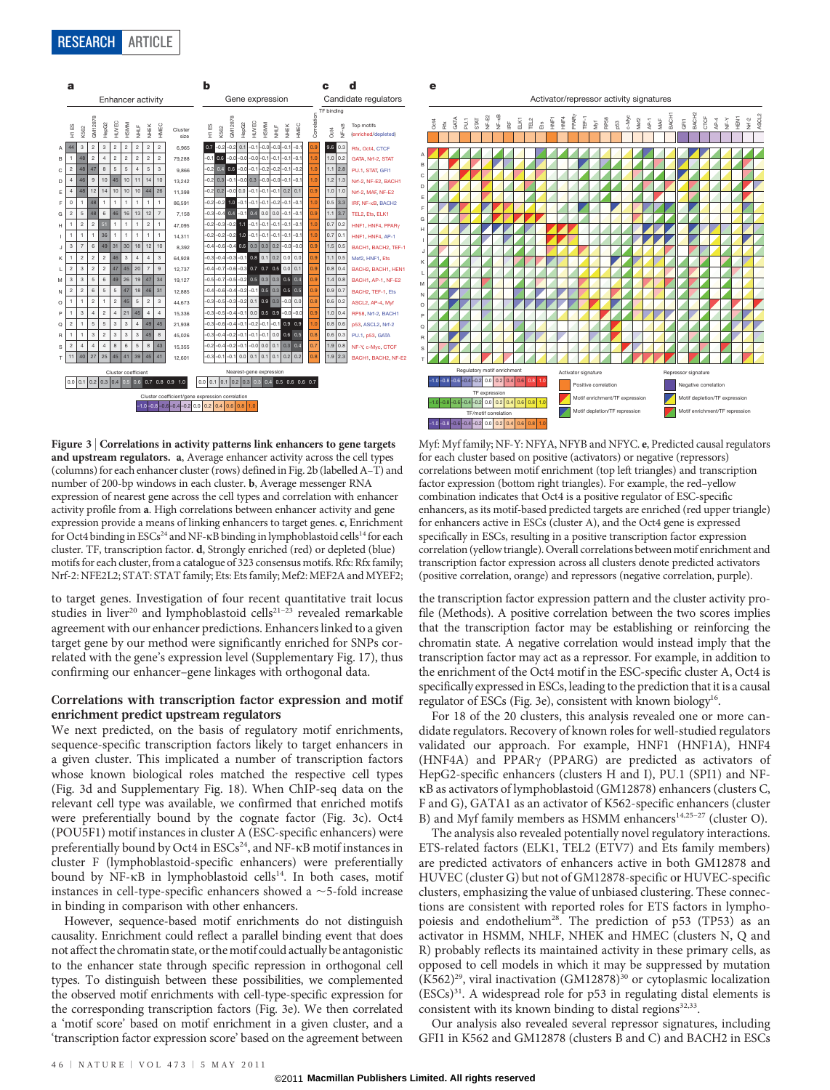

Figure 3 | Correlations in activity patterns link enhancers to gene targets and upstream regulators. a, Average enhancer activity across the cell types (columns) for each enhancer cluster (rows) defined in Fig. 2b (labelled A–T) and number of 200-bp windows in each cluster. b, Average messenger RNA expression of nearest gene across the cell types and correlation with enhancer activity profile from a. High correlations between enhancer activity and gene expression provide a means of linking enhancers to target genes. c, Enrichment for Oct4 binding in ESCs<sup>24</sup> and NF- $\kappa$ B binding in lymphoblastoid cells<sup>14</sup> for each cluster. TF, transcription factor. d, Strongly enriched (red) or depleted (blue) motifs for each cluster, from a catalogue of 323 consensus motifs. Rfx: Rfx family; Nrf-2: NFE2L2; STAT: STAT family; Ets: Ets family; Mef2: MEF2A and MYEF2;

to target genes. Investigation of four recent quantitative trait locus studies in liver<sup>20</sup> and lymphoblastoid cells<sup>21-23</sup> revealed remarkable agreement with our enhancer predictions. Enhancers linked to a given target gene by our method were significantly enriched for SNPs correlated with the gene's expression level (Supplementary Fig. 17), thus confirming our enhancer–gene linkages with orthogonal data.

#### Correlations with transcription factor expression and motif enrichment predict upstream regulators

We next predicted, on the basis of regulatory motif enrichments, sequence-specific transcription factors likely to target enhancers in a given cluster. This implicated a number of transcription factors whose known biological roles matched the respective cell types (Fig. 3d and Supplementary Fig. 18). When ChIP-seq data on the relevant cell type was available, we confirmed that enriched motifs were preferentially bound by the cognate factor (Fig. 3c). Oct4 (POU5F1) motif instances in cluster A (ESC-specific enhancers) were preferentially bound by Oct4 in  $ESCs<sup>24</sup>$ , and NF- $\kappa$ B motif instances in cluster F (lymphoblastoid-specific enhancers) were preferentially bound by NF- $\kappa$ B in lymphoblastoid cells<sup>14</sup>. In both cases, motif instances in cell-type-specific enhancers showed a  $\sim$  5-fold increase in binding in comparison with other enhancers.

However, sequence-based motif enrichments do not distinguish causality. Enrichment could reflect a parallel binding event that does not affect the chromatin state, or the motif could actually be antagonistic to the enhancer state through specific repression in orthogonal cell types. To distinguish between these possibilities, we complemented the observed motif enrichments with cell-type-specific expression for the corresponding transcription factors (Fig. 3e). We then correlated a 'motif score' based on motif enrichment in a given cluster, and a 'transcription factor expression score' based on the agreement between



Myf: Myf family; NF-Y: NFYA, NFYB and NFYC. e, Predicted causal regulators for each cluster based on positive (activators) or negative (repressors) correlations between motif enrichment (top left triangles) and transcription factor expression (bottom right triangles). For example, the red–yellow combination indicates that Oct4 is a positive regulator of ESC-specific enhancers, as its motif-based predicted targets are enriched (red upper triangle) for enhancers active in ESCs (cluster A), and the Oct4 gene is expressed specifically in ESCs, resulting in a positive transcription factor expression correlation (yellow triangle). Overall correlations between motif enrichment and transcription factor expression across all clusters denote predicted activators (positive correlation, orange) and repressors (negative correlation, purple).

the transcription factor expression pattern and the cluster activity profile (Methods). A positive correlation between the two scores implies that the transcription factor may be establishing or reinforcing the chromatin state. A negative correlation would instead imply that the transcription factor may act as a repressor. For example, in addition to the enrichment of the Oct4 motif in the ESC-specific cluster A, Oct4 is specifically expressed in ESCs, leading to the prediction that it is a causal regulator of ESCs (Fig. 3e), consistent with known biology<sup>16</sup>.

For 18 of the 20 clusters, this analysis revealed one or more candidate regulators. Recovery of known roles for well-studied regulators validated our approach. For example, HNF1 (HNF1A), HNF4 (HNF4A) and PPAR $\gamma$  (PPARG) are predicted as activators of HepG2-specific enhancers (clusters H and I), PU.1 (SPI1) and NFkB as activators of lymphoblastoid (GM12878) enhancers (clusters C, F and G), GATA1 as an activator of K562-specific enhancers (cluster B) and Myf family members as HSMM enhancers<sup>14,25-27</sup> (cluster O).

The analysis also revealed potentially novel regulatory interactions. ETS-related factors (ELK1, TEL2 (ETV7) and Ets family members) are predicted activators of enhancers active in both GM12878 and HUVEC (cluster G) but not of GM12878-specific or HUVEC-specific clusters, emphasizing the value of unbiased clustering. These connections are consistent with reported roles for ETS factors in lymphopoiesis and endothelium<sup>28</sup>. The prediction of p53 (TP53) as an activator in HSMM, NHLF, NHEK and HMEC (clusters N, Q and R) probably reflects its maintained activity in these primary cells, as opposed to cell models in which it may be suppressed by mutation  $(K562)^{29}$ , viral inactivation (GM12878)<sup>30</sup> or cytoplasmic localization  $(ESCs)^{31}$ . A widespread role for p53 in regulating distal elements is consistent with its known binding to distal regions<sup>32,33</sup>.

Our analysis also revealed several repressor signatures, including GFI1 in K562 and GM12878 (clusters B and C) and BACH2 in ESCs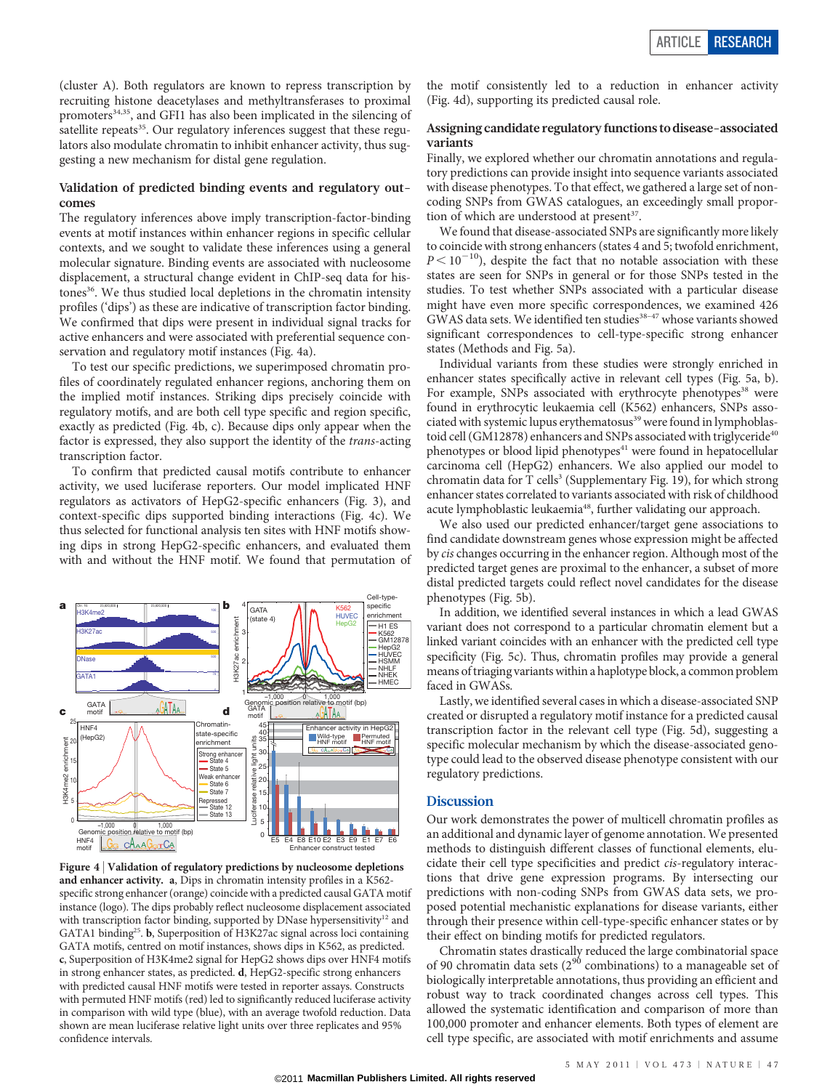(cluster A). Both regulators are known to repress transcription by recruiting histone deacetylases and methyltransferases to proximal promoters<sup>34,35</sup>, and GFI1 has also been implicated in the silencing of satellite repeats<sup>35</sup>. Our regulatory inferences suggest that these regulators also modulate chromatin to inhibit enhancer activity, thus suggesting a new mechanism for distal gene regulation.

# Validation of predicted binding events and regulatory outcomes

The regulatory inferences above imply transcription-factor-binding events at motif instances within enhancer regions in specific cellular contexts, and we sought to validate these inferences using a general molecular signature. Binding events are associated with nucleosome displacement, a structural change evident in ChIP-seq data for histones<sup>36</sup>. We thus studied local depletions in the chromatin intensity profiles ('dips') as these are indicative of transcription factor binding. We confirmed that dips were present in individual signal tracks for active enhancers and were associated with preferential sequence conservation and regulatory motif instances (Fig. 4a).

To test our specific predictions, we superimposed chromatin profiles of coordinately regulated enhancer regions, anchoring them on the implied motif instances. Striking dips precisely coincide with regulatory motifs, and are both cell type specific and region specific, exactly as predicted (Fig. 4b, c). Because dips only appear when the factor is expressed, they also support the identity of the trans-acting transcription factor.

To confirm that predicted causal motifs contribute to enhancer activity, we used luciferase reporters. Our model implicated HNF regulators as activators of HepG2-specific enhancers (Fig. 3), and context-specific dips supported binding interactions (Fig. 4c). We thus selected for functional analysis ten sites with HNF motifs showing dips in strong HepG2-specific enhancers, and evaluated them with and without the HNF motif. We found that permutation of



Figure 4 <sup>|</sup> Validation of regulatory predictions by nucleosome depletions and enhancer activity. a, Dips in chromatin intensity profiles in a K562 specific strong enhancer (orange) coincide with a predicted causal GATA motif instance (logo). The dips probably reflect nucleosome displacement associated with transcription factor binding, supported by DNase hypersensitivity<sup>12</sup> and GATA1 binding<sup>25</sup>. **b**, Superposition of H3K27ac signal across loci containing GATA motifs, centred on motif instances, shows dips in K562, as predicted. c, Superposition of H3K4me2 signal for HepG2 shows dips over HNF4 motifs in strong enhancer states, as predicted. d, HepG2-specific strong enhancers with predicted causal HNF motifs were tested in reporter assays. Constructs with permuted HNF motifs (red) led to significantly reduced luciferase activity in comparison with wild type (blue), with an average twofold reduction. Data shown are mean luciferase relative light units over three replicates and 95% confidence intervals.

the motif consistently led to a reduction in enhancer activity (Fig. 4d), supporting its predicted causal role.

# Assigning candidate regulatory functions to disease-associated variants

Finally, we explored whether our chromatin annotations and regulatory predictions can provide insight into sequence variants associated with disease phenotypes. To that effect, we gathered a large set of noncoding SNPs from GWAS catalogues, an exceedingly small proportion of which are understood at present<sup>37</sup>.

We found that disease-associated SNPs are significantly more likely to coincide with strong enhancers (states 4 and 5; twofold enrichment,  $P < 10^{-10}$ ), despite the fact that no notable association with these states are seen for SNPs in general or for those SNPs tested in the studies. To test whether SNPs associated with a particular disease might have even more specific correspondences, we examined 426 GWAS data sets. We identified ten studies<sup>38-47</sup> whose variants showed significant correspondences to cell-type-specific strong enhancer states (Methods and Fig. 5a).

Individual variants from these studies were strongly enriched in enhancer states specifically active in relevant cell types (Fig. 5a, b). For example, SNPs associated with erythrocyte phenotypes<sup>38</sup> were found in erythrocytic leukaemia cell (K562) enhancers, SNPs associated with systemic lupus erythematosus<sup>39</sup> were found in lymphoblastoid cell (GM12878) enhancers and SNPs associated with triglyceride<sup>40</sup> phenotypes or blood lipid phenotypes<sup>41</sup> were found in hepatocellular carcinoma cell (HepG2) enhancers. We also applied our model to chromatin data for  $T$  cells<sup>3</sup> (Supplementary Fig. 19), for which strong enhancer states correlated to variants associated with risk of childhood acute lymphoblastic leukaemia<sup>48</sup>, further validating our approach.

We also used our predicted enhancer/target gene associations to find candidate downstream genes whose expression might be affected by cis changes occurring in the enhancer region. Although most of the predicted target genes are proximal to the enhancer, a subset of more distal predicted targets could reflect novel candidates for the disease phenotypes (Fig. 5b).

In addition, we identified several instances in which a lead GWAS variant does not correspond to a particular chromatin element but a linked variant coincides with an enhancer with the predicted cell type specificity (Fig. 5c). Thus, chromatin profiles may provide a general means of triaging variants within a haplotype block, a common problem faced in GWASs.

Lastly, we identified several cases in which a disease-associated SNP created or disrupted a regulatory motif instance for a predicted causal transcription factor in the relevant cell type (Fig. 5d), suggesting a specific molecular mechanism by which the disease-associated genotype could lead to the observed disease phenotype consistent with our regulatory predictions.

# **Discussion**

Our work demonstrates the power of multicell chromatin profiles as an additional and dynamic layer of genome annotation. We presented methods to distinguish different classes of functional elements, elucidate their cell type specificities and predict cis-regulatory interactions that drive gene expression programs. By intersecting our predictions with non-coding SNPs from GWAS data sets, we proposed potential mechanistic explanations for disease variants, either through their presence within cell-type-specific enhancer states or by their effect on binding motifs for predicted regulators.

Chromatin states drastically reduced the large combinatorial space of 90 chromatin data sets ( $2^{90}$  combinations) to a manageable set of biologically interpretable annotations, thus providing an efficient and robust way to track coordinated changes across cell types. This allowed the systematic identification and comparison of more than 100,000 promoter and enhancer elements. Both types of element are cell type specific, are associated with motif enrichments and assume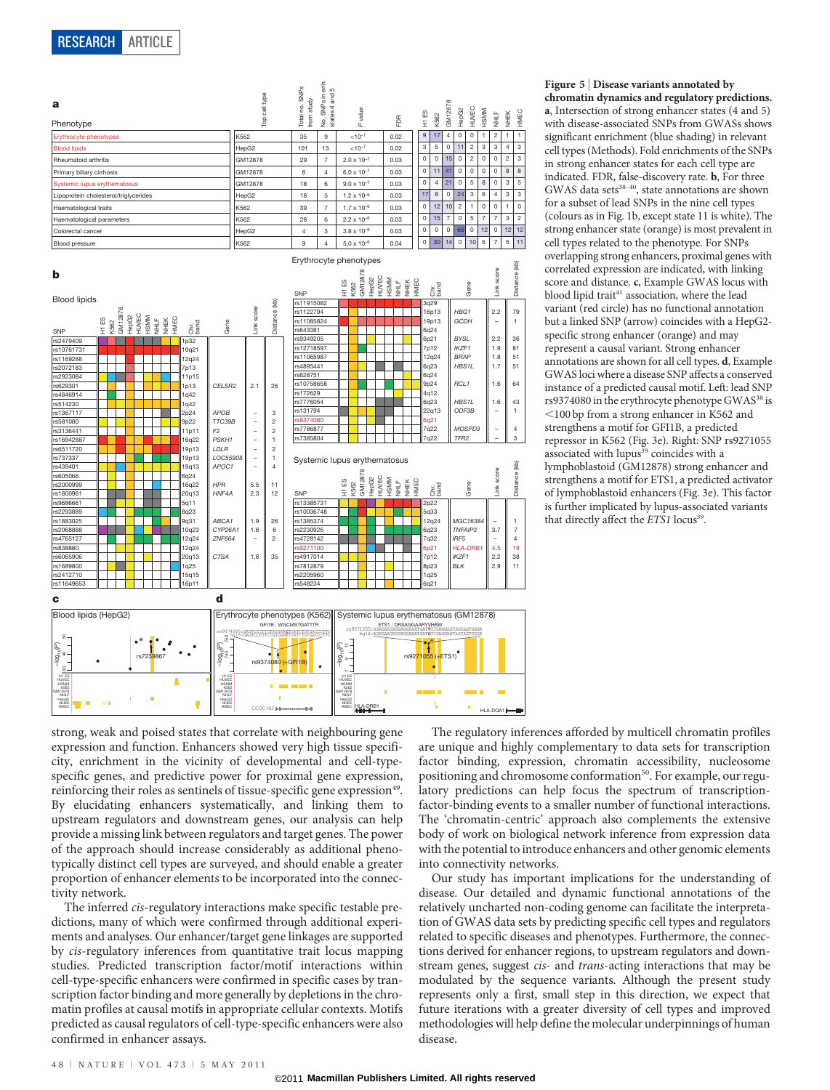

Figure 5 <sup>|</sup> Disease variants annotated by chromatin dynamics and regulatory predictions.

a, Intersection of strong enhancer states (4 and 5) with disease-associated SNPs from GWASs shows significant enrichment (blue shading) in relevant cell types (Methods). Fold enrichments of the SNPs in strong enhancer states for each cell type are indicated. FDR, false-discovery rate. b, For three GWAS data sets<sup>38-40</sup>, state annotations are shown for a subset of lead SNPs in the nine cell types (colours as in Fig. 1b, except state 11 is white). The strong enhancer state (orange) is most prevalent in cell types related to the phenotype. For SNPs overlapping strong enhancers, proximal genes with correlated expression are indicated, with linking score and distance. c, Example GWAS locus with blood lipid trait<sup>41</sup> association, where the lead variant (red circle) has no functional annotation but a linked SNP (arrow) coincides with a HepG2 specific strong enhancer (orange) and may represent a causal variant. Strong enhancer annotations are shown for all cell types. d, Example GWAS loci where a disease SNP affects a conserved instance of a predicted causal motif. Left: lead SNP rs9374080 in the erythrocyte phenotype GWAS<sup>38</sup> is  $<$ 100 bp from a strong enhancer in K562 and strengthens a motif for GFI1B, a predicted repressor in K562 (Fig. 3e). Right: SNP rs9271055 associated with lupus<sup>39</sup> coincides with a lymphoblastoid (GM12878) strong enhancer and strengthens a motif for ETS1, a predicted activator of lymphoblastoid enhancers (Fig. 3e). This factor is further implicated by lupus-associated variants that directly affect the  $ET\overline{S1}$  locus<sup>39</sup>.

strong, weak and poised states that correlate with neighbouring gene expression and function. Enhancers showed very high tissue specificity, enrichment in the vicinity of developmental and cell-typespecific genes, and predictive power for proximal gene expression, reinforcing their roles as sentinels of tissue-specific gene expression<sup>49</sup>. By elucidating enhancers systematically, and linking them to upstream regulators and downstream genes, our analysis can help provide a missing link between regulators and target genes. The power of the approach should increase considerably as additional phenotypically distinct cell types are surveyed, and should enable a greater proportion of enhancer elements to be incorporated into the connectivity network.

The inferred cis-regulatory interactions make specific testable predictions, many of which were confirmed through additional experiments and analyses. Our enhancer/target gene linkages are supported by cis-regulatory inferences from quantitative trait locus mapping studies. Predicted transcription factor/motif interactions within cell-type-specific enhancers were confirmed in specific cases by transcription factor binding and more generally by depletions in the chromatin profiles at causal motifs in appropriate cellular contexts. Motifs predicted as causal regulators of cell-type-specific enhancers were also confirmed in enhancer assays.

The regulatory inferences afforded by multicell chromatin profiles are unique and highly complementary to data sets for transcription factor binding, expression, chromatin accessibility, nucleosome positioning and chromosome conformation<sup>50</sup>. For example, our regulatory predictions can help focus the spectrum of transcriptionfactor-binding events to a smaller number of functional interactions. The 'chromatin-centric' approach also complements the extensive body of work on biological network inference from expression data with the potential to introduce enhancers and other genomic elements into connectivity networks.

Our study has important implications for the understanding of disease. Our detailed and dynamic functional annotations of the relatively uncharted non-coding genome can facilitate the interpretation of GWAS data sets by predicting specific cell types and regulators related to specific diseases and phenotypes. Furthermore, the connections derived for enhancer regions, to upstream regulators and downstream genes, suggest cis- and trans-acting interactions that may be modulated by the sequence variants. Although the present study represents only a first, small step in this direction, we expect that future iterations with a greater diversity of cell types and improved methodologies will help define the molecular underpinnings of human disease.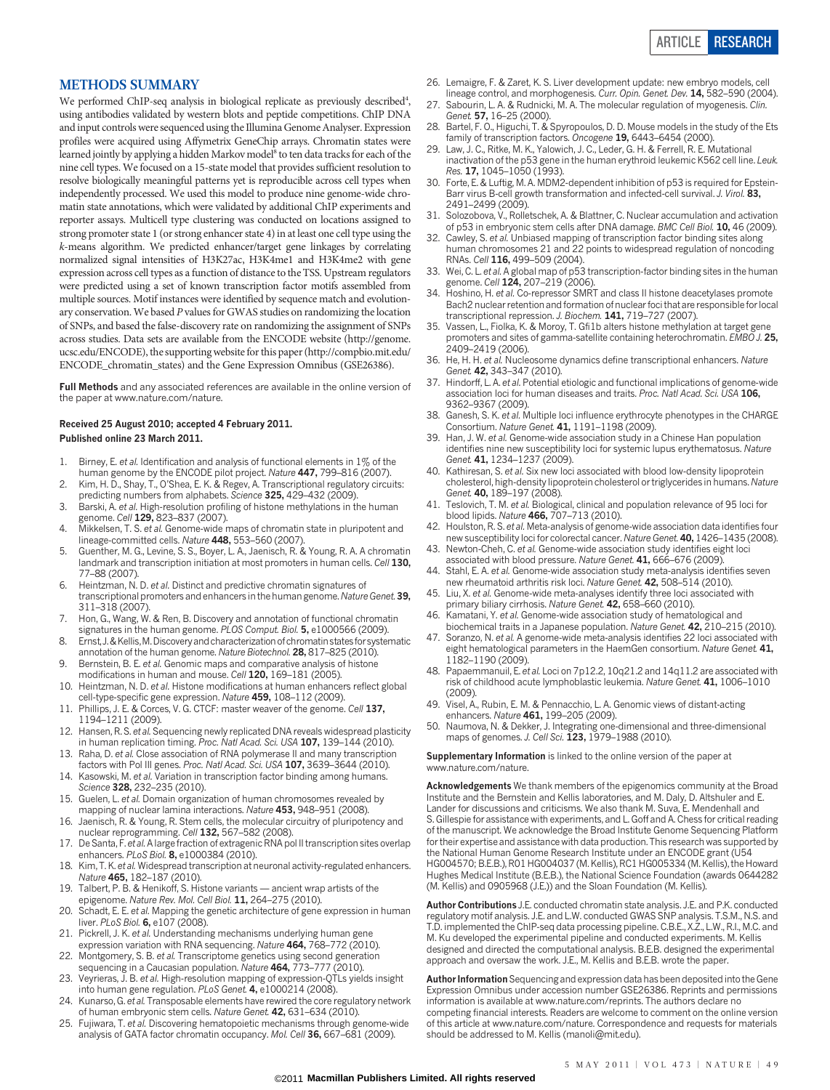

# METHODS SUMMARY

We performed ChIP-seq analysis in biological replicate as previously described<sup>4</sup>, using antibodies validated by western blots and peptide competitions. ChIP DNA and input controls were sequenced using the Illumina Genome Analyser. Expression profiles were acquired using Affymetrix GeneChip arrays. Chromatin states were learned jointly by applying a hidden Markov model<sup>8</sup> to ten data tracks for each of the nine cell types. We focused on a 15-state model that provides sufficient resolution to resolve biologically meaningful patterns yet is reproducible across cell types when independently processed. We used this model to produce nine genome-wide chromatin state annotations, which were validated by additional ChIP experiments and reporter assays. Multicell type clustering was conducted on locations assigned to strong promoter state 1 (or strong enhancer state 4) in at least one cell type using the k-means algorithm. We predicted enhancer/target gene linkages by correlating normalized signal intensities of H3K27ac, H3K4me1 and H3K4me2 with gene expression across cell types as a function of distance to the TSS. Upstream regulators were predicted using a set of known transcription factor motifs assembled from multiple sources. Motif instances were identified by sequence match and evolutionary conservation. We based P values for GWAS studies on randomizing the location of SNPs, and based the false-discovery rate on randomizing the assignment of SNPs across studies. Data sets are available from the ENCODE website ([http://genome.](http://genome.ucsc.edu/ENCODE) [ucsc.edu/ENCODE\)](http://genome.ucsc.edu/ENCODE), the supporting website for this paper [\(http://compbio.mit.edu/](http://compbio.mit.edu/ENCODE_chromatin_states) [ENCODE\\_chromatin\\_states\)](http://compbio.mit.edu/ENCODE_chromatin_states) and the Gene Expression Omnibus (GSE26386).

Full Methods and any associated references are available in the online version of the paper at<www.nature.com/nature>.

#### Received 25 August 2010; accepted 4 February 2011. Published online 23 March 2011.

- 1. Birney, E. et al. Identification and analysis of functional elements in 1% of the human genome by the ENCODE pilot project. Nature 447, 799–816 (2007).
- 2. Kim, H. D., Shay, T., O'Shea, E. K. & Regev, A. Transcriptional regulatory circuits: predicting numbers from alphabets. Science 325, 429-432 (2009)
- 3. Barski, A. et al. High-resolution profiling of histone methylations in the human genome. Cell 129, 823–837 (2007).
- 4. Mikkelsen, T. S. et al. Genome-wide maps of chromatin state in pluripotent and lineage-committed cells. Nature 448, 553-560 (2007).
- 5. Guenther, M. G., Levine, S. S., Boyer, L. A., Jaenisch, R. & Young, R. A. A chromatin landmark and transcription initiation at most promoters in human cells. Cell 130, 77–88 (2007).
- 6. Heintzman, N. D. et al. Distinct and predictive chromatin signatures of transcriptional promoters and enhancers in the human genome. Nature Genet. 39, 311–318 (2007).
- 7. Hon, G., Wang, W. & Ren, B. Discovery and annotation of functional chromatin signatures in the human genome. PLOS Comput. Biol. 5, e1000566 (2009).
- 8. Ernst, J.&Kellis,M.Discovery and characterization of chromatinstates forsystematic annotation of the human genome. Nature Biotechnol. 28, 817–825 (2010).
- 9. Bernstein, B. E. et al. Genomic maps and comparative analysis of histone modifications in human and mouse. Cell 120, 169–181 (2005).
- 10. Heintzman, N. D. et al. Histone modifications at human enhancers reflect global cell-type-specific gene expression. Nature 459, 108–112 (2009).
- Phillips, J. E. & Corces, V. G. CTCF: master weaver of the genome. Cell 137, 1194–1211 (2009).
- 12. Hansen, R. S. et al. Sequencing newly replicated DNA reveals widespread plasticity in human replication timing. Proc. Natl Acad. Sci. USA 107, 139–144 (2010).
- 13. Raha, D. et al. Close association of RNA polymerase II and many transcription factors with Pol III genes. Proc. Natl Acad. Sci. USA 107, 3639-3644 (2010).
- Kasowski, M. et al. Variation in transcription factor binding among humans. Science 328, 232-235 (2010).
- 15. Guelen, L. et al. Domain organization of human chromosomes revealed by mapping of nuclear lamina interactions. Nature 453, 948–951 (2008).
- 16. Jaenisch, R. & Young, R. Stem cells, the molecular circuitry of pluripotency and nuclear reprogramming. Cell 132, 567–582 (2008).
- 17. De Santa, F. et al. A large fraction of extragenic RNA pol II transcription sites overlap enhancers. PLoS Biol. 8, e1000384 (2010).
- 18. Kim, T. K. et al. Widespread transcription at neuronal activity-regulated enhancers. Nature 465, 182–187 (2010).
- 19. Talbert, P. B. & Henikoff, S. Histone variants ancient wrap artists of the epigenome. Nature Rev. Mol. Cell Biol. 11, 264-275 (2010).
- 20. Schadt, E. E. et al. Mapping the genetic architecture of gene expression in human liver. PLoS Biol. 6, e107 (2008).
- 21. Pickrell, J. K. et al. Understanding mechanisms underlying human gene expression variation with RNA sequencing. Nature 464, 768–772 (2010).
- 22. Montgomery, S. B. et al. Transcriptome genetics using second generation sequencing in a Caucasian population. Nature 464, 773-777 (2010).
- 23. Veyrieras, J. B. et al. High-resolution mapping of expression-QTLs yields insight into human gene regulation. PLoS Genet. 4, e1000214 (2008).
- 24. Kunarso, G. et al. Transposable elements have rewired the core regulatory network of human embryonic stem cells. Nature Genet. 42, 631–634 (2010).
- 25. Fujiwara, T. et al. Discovering hematopoietic mechanisms through genome-wide analysis of GATA factor chromatin occupancy. Mol. Cell 36, 667-681 (2009).
- 26. Lemaigre, F. & Zaret, K. S. Liver development update: new embryo models, cell lineage control, and morphogenesis. Curr. Opin. Genet. Dev. 14, 582-590 (2004).
- 27. Sabourin, L. A. & Rudnicki, M. A. The molecular regulation of myogenesis. Clin. Genet. **57.** 16-25 (2000).
- 28. Bartel, F. O., Higuchi, T. & Spyropoulos, D. D. Mouse models in the study of the Ets family of transcription factors. Oncogene 19, 6443-6454 (2000)
- 29. Law, J. C., Ritke, M. K., Yalowich, J. C., Leder, G. H. & Ferrell, R. E. Mutational inactivation of the p53 gene in the human erythroid leukemic K562 cell line. Leuk. Res. 17, 1045–1050 (1993).
- 30. Forte, E. & Luftig, M. A. MDM2-dependent inhibition of p53 is required for Epstein-Barr virus B-cell growth transformation and infected-cell survival. J. Virol. 83, 2491–2499 (2009).
- 31. Solozobova, V., Rolletschek, A. & Blattner, C. Nuclear accumulation and activation of p53 in embryonic stem cells after DNA damage. BMC Cell Biol. 10, 46 (2009).
- 32. Cawley, S. et al. Unbiased mapping of transcription factor binding sites along human chromosomes 21 and 22 points to widespread regulation of noncoding RNAs. Cell 116, 499–509 (2004).
- 33. Wei, C. L. et al. A global map of p53 transcription-factor binding sites in the human genome. Cell 124, 207-219 (2006).
- 34. Hoshino, H. et al. Co-repressor SMRT and class II histone deacetylases promote Bach2 nuclear retention and formation of nuclear foci that are responsible for local transcriptional repression. J. Biochem. 141, 719-727 (2007).
- Vassen, L., Fiolka, K. & Moroy, T. Gfi1b alters histone methylation at target gene promoters and sites of gamma-satellite containing heterochromatin. EMBO J. 25, 2409–2419 (2006).
- 36. He, H. H. et al. Nucleosome dynamics define transcriptional enhancers. Nature Genet. 42, 343–347 (2010).
- 37. Hindorff, L. A. et al. Potential etiologic and functional implications of genome-wide association loci for human diseases and traits. Proc. Natl Acad. Sci. USA 106, 9362–9367 (2009).
- 38. Ganesh, S. K. et al. Multiple loci influence erythrocyte phenotypes in the CHARGE Consortium. Nature Genet. 41, 1191–1198 (2009).
- 39. Han, J. W. et al. Genome-wide association study in a Chinese Han population identifies nine new susceptibility loci for systemic lupus erythematosus. Nature Genet. 41, 1234-1237 (2009).
- 40. Kathiresan, S. et al. Six new loci associated with blood low-density lipoprotein cholesterol, high-density lipoprotein cholesterol or triglycerides in humans. Nature Genet. 40, 189-197 (2008).
- 41. Teslovich, T. M. et al. Biological, clinical and population relevance of 95 loci for blood lipids. Nature 466, 707–713 (2010).
- 42. Houlston, R. S. et al. Meta-analysis of genome-wide association data identifies four new susceptibility loci for colorectal cancer. Nature Genet. 40, 1426–1435 (2008).
- 43. Newton-Cheh, C. et al. Genome-wide association study identifies eight loci associated with blood pressure. Nature Genet. 41, 666-676 (2009)
- 44. Stahl, E. A. et al. Genome-wide association study meta-analysis identifies seven new rheumatoid arthritis risk loci. Nature Genet. 42, 508–514 (2010).
- 45. Liu, X. e*t al.* Genome-wide meta-analyses identify three loci associated with<br>primary biliary cirrhosis. Nature Genet. **42,** 658–660 (2010).
- 46. Kamatani, Y. et al. Genome-wide association study of hematological and biochemical traits in a Japanese population. Nature Genet. 42, 210-215 (2010).
- 47. Soranzo, N. et al. A genome-wide meta-analysis identifies 22 loci associated with eight hematological parameters in the HaemGen consortium. Nature Genet. 41, 1182–1190 (2009).
- 48. Papaemmanuil, E. et al. Loci on 7p12.2, 10q21.2 and 14q11.2 are associated with risk of childhood acute lymphoblastic leukemia. Nature Genet. 41, 1006-1010 (2009).
- 49. Visel, A., Rubin, E. M. & Pennacchio, L. A. Genomic views of distant-acting enhancers. Nature 461, 199–205 (2009).
- 50. Naumova, N. & Dekker, J. Integrating one-dimensional and three-dimensional maps of genomes. J. Cell Sci. 123, 1979-1988 (2010).

Supplementary Information is linked to the online version of the paper at <www.nature.com/nature>.

Acknowledgements We thank members of the epigenomics community at the Broad Institute and the Bernstein and Kellis laboratories, and M. Daly, D. Altshuler and E. Lander for discussions and criticisms. We also thank M. Suva, E. Mendenhall and S. Gillespie for assistance with experiments, and L. Goff and A. Chess for critical reading of the manuscript. We acknowledge the Broad Institute Genome Sequencing Platform for their expertise and assistance with data production. This research was supported by the National Human Genome Research Institute under an ENCODE grant (U54 HG004570; B.E.B.), R01 HG004037 (M. Kellis), RC1 HG005334 (M. Kellis), the Howard Hughes Medical Institute (B.E.B.), the National Science Foundation (awards 0644282 (M. Kellis) and 0905968 (J.E.)) and the Sloan Foundation (M. Kellis).

Author Contributions J.E. conducted chromatin state analysis. J.E. and P.K. conducted regulatory motif analysis. J.E. and L.W. conducted GWAS SNP analysis. T.S.M., N.S. and T.D. implemented the ChIP-seq data processing pipeline. C.B.E., X.Z., L.W., R.I., M.C. and M. Ku developed the experimental pipeline and conducted experiments. M. Kellis designed and directed the computational analysis. B.E.B. designed the experimental approach and oversaw the work. J.E., M. Kellis and B.E.B. wrote the paper.

Author Information Sequencing and expression data has been deposited into the Gene Expression Omnibus under accession number GSE26386. Reprints and permissions information is available at<www.nature.com/reprints>. The authors declare no competing financial interests. Readers are welcome to comment on the online version of this article at<www.nature.com/nature>. Correspondence and requests for materials should be addressed to M. Kellis [\(manoli@mit.edu\)](mailto:manoli@mit.edu).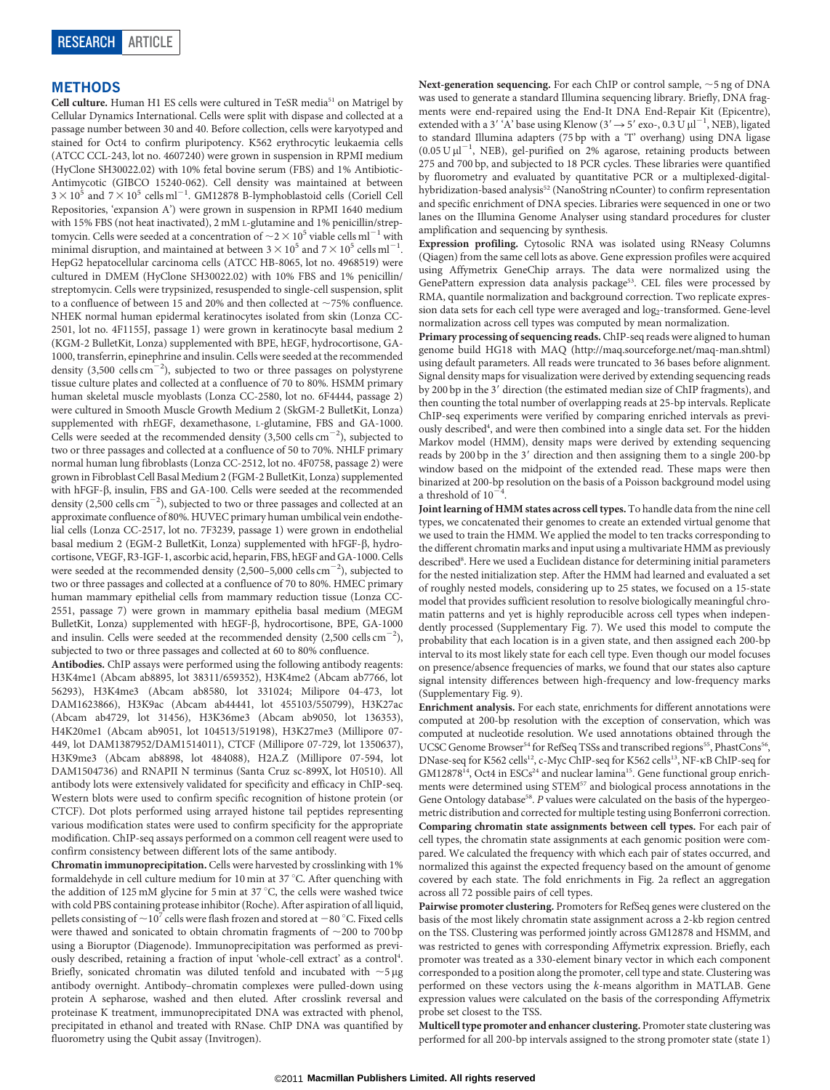# METHODS

Cell culture. Human H1 ES cells were cultured in TeSR media<sup>51</sup> on Matrigel by Cellular Dynamics International. Cells were split with dispase and collected at a passage number between 30 and 40. Before collection, cells were karyotyped and stained for Oct4 to confirm pluripotency. K562 erythrocytic leukaemia cells (ATCC CCL-243, lot no. 4607240) were grown in suspension in RPMI medium (HyClone SH30022.02) with 10% fetal bovine serum (FBS) and 1% Antibiotic-Antimycotic (GIBCO 15240-062). Cell density was maintained at between  $3 \times 10^5$  and  $7 \times 10^5$  cells ml<sup>-1</sup>. GM12878 B-lymphoblastoid cells (Coriell Cell Repositories, 'expansion A') were grown in suspension in RPMI 1640 medium with 15% FBS (not heat inactivated), 2 mM L-glutamine and 1% penicillin/streptomycin. Cells were seeded at a concentration of  $\sim$ 2  $\times$  10<sup>5</sup> viable cells ml<sup>-1</sup> with minimal disruption, and maintained at between  $3\times 10^5$  and  $7\times 10^5$  cells ml<sup>-1</sup>. HepG2 hepatocellular carcinoma cells (ATCC HB-8065, lot no. 4968519) were cultured in DMEM (HyClone SH30022.02) with 10% FBS and 1% penicillin/ streptomycin. Cells were trypsinized, resuspended to single-cell suspension, split to a confluence of between 15 and 20% and then collected at  $\sim$ 75% confluence. NHEK normal human epidermal keratinocytes isolated from skin (Lonza CC-2501, lot no. 4F1155J, passage 1) were grown in keratinocyte basal medium 2 (KGM-2 BulletKit, Lonza) supplemented with BPE, hEGF, hydrocortisone, GA-1000, transferrin, epinephrine and insulin. Cells were seeded at the recommended density (3,500 cells  $\text{cm}^{-2}$ ), subjected to two or three passages on polystyrene tissue culture plates and collected at a confluence of 70 to 80%. HSMM primary human skeletal muscle myoblasts (Lonza CC-2580, lot no. 6F4444, passage 2) were cultured in Smooth Muscle Growth Medium 2 (SkGM-2 BulletKit, Lonza) supplemented with rhEGF, dexamethasone, L-glutamine, FBS and GA-1000. Cells were seeded at the recommended density  $(3,500 \text{ cells cm}^{-2})$ , subjected to two or three passages and collected at a confluence of 50 to 70%. NHLF primary normal human lung fibroblasts (Lonza CC-2512, lot no. 4F0758, passage 2) were grown in Fibroblast Cell Basal Medium 2 (FGM-2 BulletKit, Lonza) supplemented with hFGF- $\beta$ , insulin, FBS and GA-100. Cells were seeded at the recommended density (2,500 cells cm<sup>-2</sup>), subjected to two or three passages and collected at an approximate confluence of 80%. HUVEC primary human umbilical vein endothelial cells (Lonza CC-2517, lot no. 7F3239, passage 1) were grown in endothelial basal medium 2 (EGM-2 BulletKit, Lonza) supplemented with hFGF- $\beta$ , hydrocortisone, VEGF, R3-IGF-1, ascorbic acid, heparin, FBS, hEGF and GA-1000. Cells were seeded at the recommended density (2,500–5,000 cells  $cm^{-2}$ ), subjected to two or three passages and collected at a confluence of 70 to 80%. HMEC primary human mammary epithelial cells from mammary reduction tissue (Lonza CC-2551, passage 7) were grown in mammary epithelia basal medium (MEGM BulletKit, Lonza) supplemented with hEGF- $\beta$ , hydrocortisone, BPE, GA-1000 and insulin. Cells were seeded at the recommended density  $(2,500 \text{ cells cm}^{-2})$ , subjected to two or three passages and collected at 60 to 80% confluence.

Antibodies. ChIP assays were performed using the following antibody reagents: H3K4me1 (Abcam ab8895, lot 38311/659352), H3K4me2 (Abcam ab7766, lot 56293), H3K4me3 (Abcam ab8580, lot 331024; Milipore 04-473, lot DAM1623866), H3K9ac (Abcam ab44441, lot 455103/550799), H3K27ac (Abcam ab4729, lot 31456), H3K36me3 (Abcam ab9050, lot 136353), H4K20me1 (Abcam ab9051, lot 104513/519198), H3K27me3 (Millipore 07- 449, lot DAM1387952/DAM1514011), CTCF (Millipore 07-729, lot 1350637), H3K9me3 (Abcam ab8898, lot 484088), H2A.Z (Millipore 07-594, lot DAM1504736) and RNAPII N terminus (Santa Cruz sc-899X, lot H0510). All antibody lots were extensively validated for specificity and efficacy in ChIP-seq. Western blots were used to confirm specific recognition of histone protein (or CTCF). Dot plots performed using arrayed histone tail peptides representing various modification states were used to confirm specificity for the appropriate modification. ChIP-seq assays performed on a common cell reagent were used to confirm consistency between different lots of the same antibody.

Chromatin immunoprecipitation. Cells were harvested by crosslinking with 1% formaldehyde in cell culture medium for 10 min at 37 °C. After quenching with the addition of 125 mM glycine for 5 min at 37  $^{\circ}$ C, the cells were washed twice with cold PBS containing protease inhibitor (Roche). After aspiration of all liquid, pellets consisting of  $\sim$  10<sup>7</sup> cells were flash frozen and stored at  $-80$  °C. Fixed cells were thawed and sonicated to obtain chromatin fragments of  $\sim$ 200 to 700 bp using a Bioruptor (Diagenode). Immunoprecipitation was performed as previously described, retaining a fraction of input 'whole-cell extract' as a control<sup>4</sup>. Briefly, sonicated chromatin was diluted tenfold and incubated with  $\sim$  5 µg antibody overnight. Antibody–chromatin complexes were pulled-down using protein A sepharose, washed and then eluted. After crosslink reversal and proteinase K treatment, immunoprecipitated DNA was extracted with phenol, precipitated in ethanol and treated with RNase. ChIP DNA was quantified by fluorometry using the Qubit assay (Invitrogen).

Next-generation sequencing. For each ChIP or control sample,  $\sim$  5 ng of DNA was used to generate a standard Illumina sequencing library. Briefly, DNA fragments were end-repaired using the End-It DNA End-Repair Kit (Epicentre), extended with a 3' 'A' base using Klenow (3'  $\rightarrow$  5' exo-, 0.3 U  $\mu$ l<sup>-1</sup>, NEB), ligated to standard Illumina adapters (75 bp with a 'T' overhang) using DNA ligase  $(0.05 \text{ U }\mu\text{L}^{-1}$ , NEB), gel-purified on 2% agarose, retaining products between 275 and 700 bp, and subjected to 18 PCR cycles. These libraries were quantified by fluorometry and evaluated by quantitative PCR or a multiplexed-digitalhybridization-based analysis<sup>52</sup> (NanoString nCounter) to confirm representation and specific enrichment of DNA species. Libraries were sequenced in one or two lanes on the Illumina Genome Analyser using standard procedures for cluster amplification and sequencing by synthesis.

Expression profiling. Cytosolic RNA was isolated using RNeasy Columns (Qiagen) from the same cell lots as above. Gene expression profiles were acquired using Affymetrix GeneChip arrays. The data were normalized using the GenePattern expression data analysis package<sup>53</sup>. CEL files were processed by RMA, quantile normalization and background correction. Two replicate expression data sets for each cell type were averaged and log<sub>2</sub>-transformed. Gene-level normalization across cell types was computed by mean normalization.

Primary processing of sequencing reads. ChIP-seq reads were aligned to human genome build HG18 with MAQ [\(http://maq.sourceforge.net/maq-man.shtml](http://maq.sourceforge.net/maq-man.shtml)) using default parameters. All reads were truncated to 36 bases before alignment. Signal density maps for visualization were derived by extending sequencing reads by 200 bp in the 3' direction (the estimated median size of ChIP fragments), and then counting the total number of overlapping reads at 25-bp intervals. Replicate ChIP-seq experiments were verified by comparing enriched intervals as previously described<sup>4</sup>, and were then combined into a single data set. For the hidden Markov model (HMM), density maps were derived by extending sequencing reads by 200 bp in the 3' direction and then assigning them to a single 200-bp window based on the midpoint of the extended read. These maps were then binarized at 200-bp resolution on the basis of a Poisson background model using a threshold of  $10^{-7}$ .

Joint learning of HMM states across cell types. To handle data from the nine cell types, we concatenated their genomes to create an extended virtual genome that we used to train the HMM. We applied the model to ten tracks corresponding to the different chromatin marks and input using a multivariate HMM as previously described<sup>8</sup>. Here we used a Euclidean distance for determining initial parameters for the nested initialization step. After the HMM had learned and evaluated a set of roughly nested models, considering up to 25 states, we focused on a 15-state model that provides sufficient resolution to resolve biologically meaningful chromatin patterns and yet is highly reproducible across cell types when independently processed (Supplementary Fig. 7). We used this model to compute the probability that each location is in a given state, and then assigned each 200-bp interval to its most likely state for each cell type. Even though our model focuses on presence/absence frequencies of marks, we found that our states also capture signal intensity differences between high-frequency and low-frequency marks (Supplementary Fig. 9).

Enrichment analysis. For each state, enrichments for different annotations were computed at 200-bp resolution with the exception of conservation, which was computed at nucleotide resolution. We used annotations obtained through the UCSC Genome Browser<sup>54</sup> for RefSeq TSSs and transcribed regions<sup>55</sup>, PhastCons<sup>56</sup>, DNase-seq for K562 cells<sup>12</sup>, c-Myc ChIP-seq for K562 cells<sup>13</sup>, NF-kB ChIP-seq for  $GM12878^{14}$ , Oct4 in ESCs<sup>24</sup> and nuclear lamina<sup>15</sup>. Gene functional group enrichments were determined using STEM<sup>57</sup> and biological process annotations in the Gene Ontology database<sup>58</sup>. P values were calculated on the basis of the hypergeometric distribution and corrected for multiple testing using Bonferroni correction. Comparing chromatin state assignments between cell types. For each pair of cell types, the chromatin state assignments at each genomic position were compared. We calculated the frequency with which each pair of states occurred, and normalized this against the expected frequency based on the amount of genome covered by each state. The fold enrichments in Fig. 2a reflect an aggregation across all 72 possible pairs of cell types.

Pairwise promoter clustering. Promoters for RefSeq genes were clustered on the basis of the most likely chromatin state assignment across a 2-kb region centred on the TSS. Clustering was performed jointly across GM12878 and HSMM, and was restricted to genes with corresponding Affymetrix expression. Briefly, each promoter was treated as a 330-element binary vector in which each component corresponded to a position along the promoter, cell type and state. Clustering was performed on these vectors using the k-means algorithm in MATLAB. Gene expression values were calculated on the basis of the corresponding Affymetrix probe set closest to the TSS.

Multicell type promoter and enhancer clustering. Promoter state clustering was performed for all 200-bp intervals assigned to the strong promoter state (state 1)